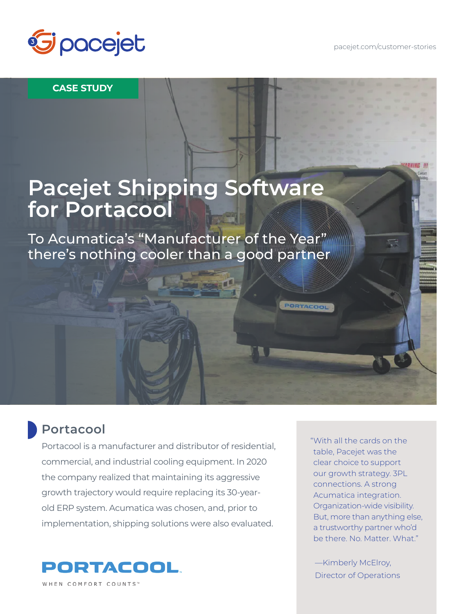

#### **CASE STUDY**

### **Pacejet Shipping Software for Portacool**

To Acumatica's "Manufacturer of the Year" there's nothing cooler than a good partner

### **Portacool**

Portacool is a manufacturer and distributor of residential, commercial, and industrial cooling equipment. In 2020 the company realized that maintaining its aggressive growth trajectory would require replacing its 30-yearold ERP system. Acumatica was chosen, and, prior to implementation, shipping solutions were also evaluated.



"With all the cards on the table, Pacejet was the clear choice to support our growth strategy. 3PL connections. A strong Acumatica integration. Organization-wide visibility. But, more than anything else, a trustworthy partner who'd be there. No. Matter. What."

PORTACOOL

—Kimberly McElroy, Director of Operations